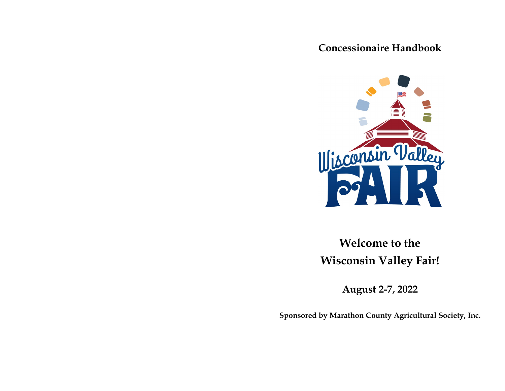**Concessionaire Handbook**



**Welcome to the Wisconsin Valley Fair!**

**August 2-7, 2022**

**Sponsored by Marathon County Agricultural Society, Inc.**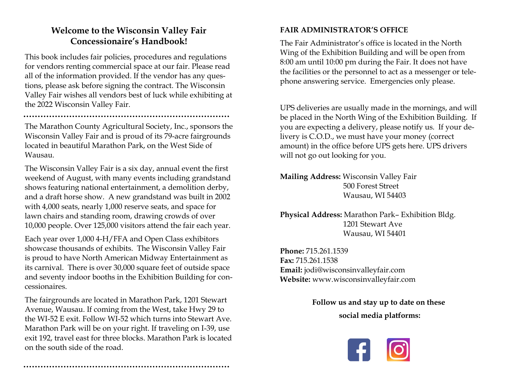# **Welcome to the Wisconsin Valley Fair Concessionaire's Handbook!**

This book includes fair policies, procedures and regulations for vendors renting commercial space at our fair. Please read all of the information provided. If the vendor has any questions, please ask before signing the contract. The Wisconsin Valley Fair wishes all vendors best of luck while exhibiting at the 2022 Wisconsin Valley Fair.

The Marathon County Agricultural Society, Inc., sponsors the Wisconsin Valley Fair and is proud of its 79-acre fairgrounds located in beautiful Marathon Park, on the West Side of Wausau.

The Wisconsin Valley Fair is a six day, annual event the first weekend of August, with many events including grandstand shows featuring national entertainment, a demolition derby, and a draft horse show. A new grandstand was built in 2002 with 4,000 seats, nearly 1,000 reserve seats, and space for lawn chairs and standing room, drawing crowds of over 10,000 people. Over 125,000 visitors attend the fair each year.

Each year over 1,000 4-H/FFA and Open Class exhibitors showcase thousands of exhibits. The Wisconsin Valley Fair is proud to have North American Midway Entertainment as its carnival. There is over 30,000 square feet of outside space and seventy indoor booths in the Exhibition Building for concessionaires.

The fairgrounds are located in Marathon Park, 1201 Stewart Avenue, Wausau. If coming from the West, take Hwy 29 to the WI-52 E exit. Follow WI-52 which turns into Stewart Ave. Marathon Park will be on your right. If traveling on I-39, use exit 192, travel east for three blocks. Marathon Park is located on the south side of the road.

## **FAIR ADMINISTRATOR'S OFFICE**

The Fair Administrator's office is located in the North Wing of the Exhibition Building and will be open from 8:00 am until 10:00 pm during the Fair. It does not have the facilities or the personnel to act as a messenger or telephone answering service. Emergencies only please.

UPS deliveries are usually made in the mornings, and will be placed in the North Wing of the Exhibition Building. If you are expecting a delivery, please notify us. If your delivery is C.O.D., we must have your money (correct amount) in the office before UPS gets here. UPS drivers will not go out looking for you.

**Mailing Address:** Wisconsin Valley Fair 500 Forest Street Wausau, WI 54403

**Physical Address:** Marathon Park– Exhibition Bldg. 1201 Stewart Ave Wausau, WI 54401

**Phone:** 715.261.1539 **Fax:** 715.261.1538 **Email:** jodi@wisconsinvalleyfair.com **Website:** www.wisconsinvalleyfair.com

> **Follow us and stay up to date on these social media platforms:**

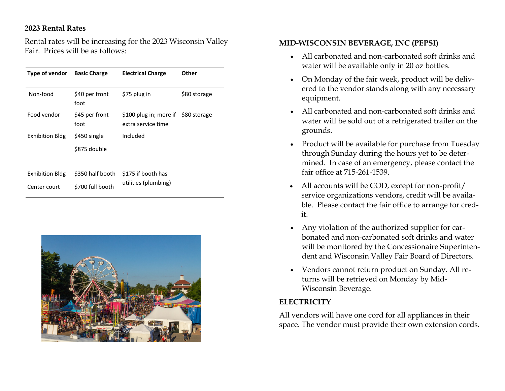#### **2023 Rental Rates**

Rental rates will be increasing for the 2023 Wisconsin Valley Fair. Prices will be as follows:

| Type of vendor         | <b>Basic Charge</b>    | <b>Electrical Charge</b>                     | Other        |
|------------------------|------------------------|----------------------------------------------|--------------|
| Non-food               | \$40 per front<br>foot | \$75 plug in                                 | \$80 storage |
| Food vendor            | \$45 per front<br>foot | \$100 plug in; more if<br>extra service time | \$80 storage |
| <b>Exhibition Bldg</b> | \$450 single           | Included                                     |              |
|                        | \$875 double           |                                              |              |
|                        |                        |                                              |              |
| Exhibition Bldg        | \$350 half booth       | \$175 if booth has<br>utilities (plumbing)   |              |
| Center court           | \$700 full booth       |                                              |              |



#### **MID-WISCONSIN BEVERAGE, INC (PEPSI)**

- All carbonated and non-carbonated soft drinks and water will be available only in 20 oz bottles.
- On Monday of the fair week, product will be delivered to the vendor stands along with any necessary equipment.
- All carbonated and non-carbonated soft drinks and water will be sold out of a refrigerated trailer on the grounds.
- Product will be available for purchase from Tuesday through Sunday during the hours yet to be determined. In case of an emergency, please contact the fair office at 715-261-1539.
- All accounts will be COD, except for non-profit/ service organizations vendors, credit will be available. Please contact the fair office to arrange for credit.
- Any violation of the authorized supplier for carbonated and non-carbonated soft drinks and water will be monitored by the Concessionaire Superintendent and Wisconsin Valley Fair Board of Directors.
- Vendors cannot return product on Sunday. All returns will be retrieved on Monday by Mid-Wisconsin Beverage.

#### **ELECTRICITY**

All vendors will have one cord for all appliances in their space. The vendor must provide their own extension cords.